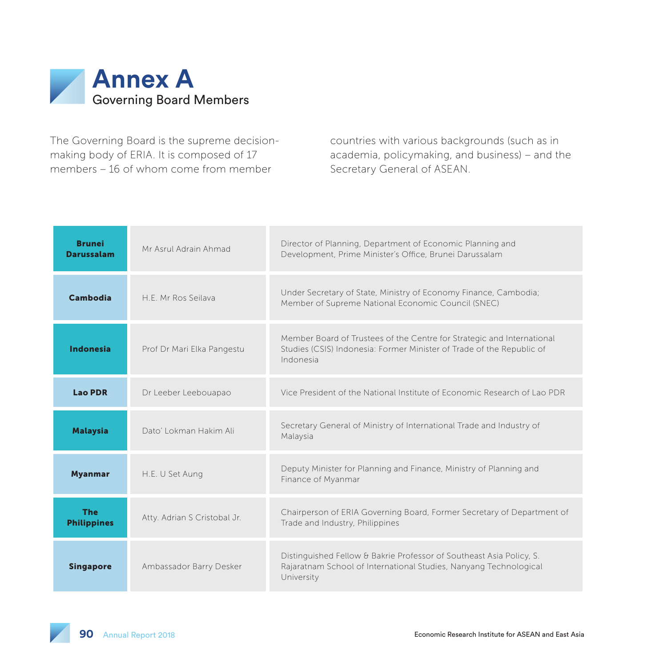

The Governing Board is the supreme decisionmaking body of ERIA. It is composed of 17 members – 16 of whom come from member

countries with various backgrounds (such as in academia, policymaking, and business) – and the Secretary General of ASEAN.

| Brunei<br><b>Darussalam</b>      | Mr Asrul Adrain Ahmad        | Director of Planning, Department of Economic Planning and<br>Development, Prime Minister's Office, Brunei Darussalam                                         |
|----------------------------------|------------------------------|--------------------------------------------------------------------------------------------------------------------------------------------------------------|
| Cambodia                         | H F Mr Ros Seilava           | Under Secretary of State, Ministry of Economy Finance, Cambodia;<br>Member of Supreme National Economic Council (SNEC)                                       |
| <b>Indonesia</b>                 | Prof Dr Mari Elka Pangestu   | Member Board of Trustees of the Centre for Strategic and International<br>Studies (CSIS) Indonesia: Former Minister of Trade of the Republic of<br>Indonesia |
| <b>Lao PDR</b>                   | Dr Leeber Leebouapao         | Vice President of the National Institute of Economic Research of Lao PDR                                                                                     |
| <b>Malaysia</b>                  | Dato' Lokman Hakim Ali       | Secretary General of Ministry of International Trade and Industry of<br>Malaysia                                                                             |
| <b>Myanmar</b>                   | H.E. U Set Aung              | Deputy Minister for Planning and Finance, Ministry of Planning and<br>Finance of Myanmar                                                                     |
| <b>The</b><br><b>Philippines</b> | Atty. Adrian S Cristobal Jr. | Chairperson of ERIA Governing Board, Former Secretary of Department of<br>Trade and Industry, Philippines                                                    |
| <b>Singapore</b>                 | Ambassador Barry Desker      | Distinguished Fellow & Bakrie Professor of Southeast Asia Policy, S.<br>Rajaratnam School of International Studies, Nanyang Technological<br>University      |